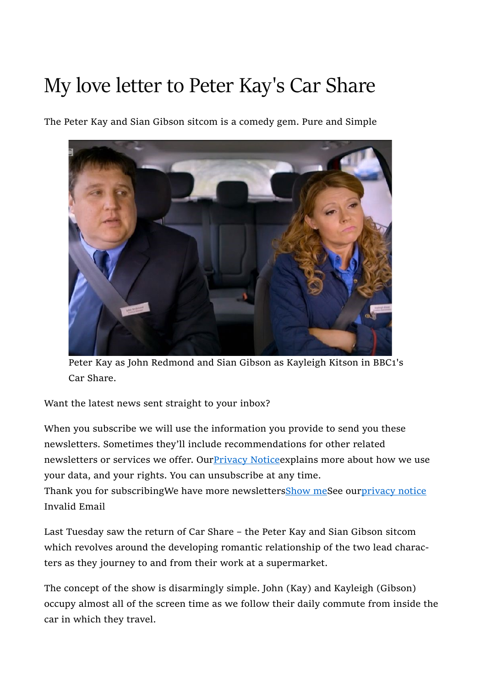# My love letter to Peter Kay's Car Share

The Peter Kay and Sian Gibson sitcom is a comedy gem. Pure and Simple



Peter Kay as John Redmond and Sian Gibson as Kayleigh Kitson in BBC1's Car Share.

Want the latest news sent straight to your inbox?

When you subscribe we will use the information you provide to send you these newsletters. Sometimes they'll include recommendations for other related newsletters or services we offer. Our Privacy Notice explains more about how we use your data, and your rights. You can unsubscribe at any time. Thank you for subscribingWe have more newslettersShow meSee ourprivacy notice Invalid Email

Last Tuesday saw the return of Car Share – the Peter Kay and Sian Gibson sitcom which revolves around the developing romantic relationship of the two lead characters as they journey to and from their work at a supermarket.

The concept of the show is disarmingly simple. John (Kay) and Kayleigh (Gibson) occupy almost all of the screen time as we follow their daily commute from inside the car in which they travel.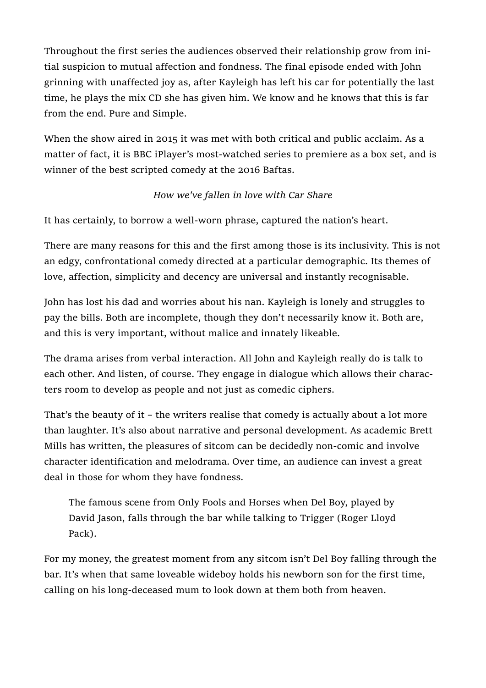Throughout the first series the audiences observed their relationship grow from initial suspicion to mutual affection and fondness. The final episode ended with John grinning with unaffected joy as, after Kayleigh has left his car for potentially the last time, he plays the mix CD she has given him. We know and he knows that this is far from the end. Pure and Simple.

When the show aired in 2015 it was met with both critical and public acclaim. As a matter of fact, it is BBC iPlayer's most-watched series to premiere as a box set, and is winner of the best scripted comedy at the 2016 Baftas.

## How we've fallen in love with Car Share

It has certainly, to borrow a well-worn phrase, captured the nation's heart.

There are many reasons for this and the first among those is its inclusivity. This is not an edgy, confrontational comedy directed at a particular demographic. Its themes of love, affection, simplicity and decency are universal and instantly recognisable.

John has lost his dad and worries about his nan. Kayleigh is lonely and struggles to pay the bills. Both are incomplete, though they don't necessarily know it. Both are, and this is very important, without malice and innately likeable.

The drama arises from verbal interaction. All John and Kayleigh really do is talk to each other. And listen, of course. They engage in dialogue which allows their characters room to develop as people and not just as comedic ciphers.

That's the beauty of it – the writers realise that comedy is actually about a lot more than laughter. It's also about narrative and personal development. As academic Brett Mills has written, the pleasures of sitcom can be decidedly non-comic and involve character identification and melodrama. Over time, an audience can invest a great deal in those for whom they have fondness.

The famous scene from Only Fools and Horses when Del Boy, played by David Jason, falls through the bar while talking to Trigger (Roger Lloyd Pack).

For my money, the greatest moment from any sitcom isn't Del Boy falling through the bar. It's when that same loveable wideboy holds his newborn son for the first time, calling on his long-deceased mum to look down at them both from heaven.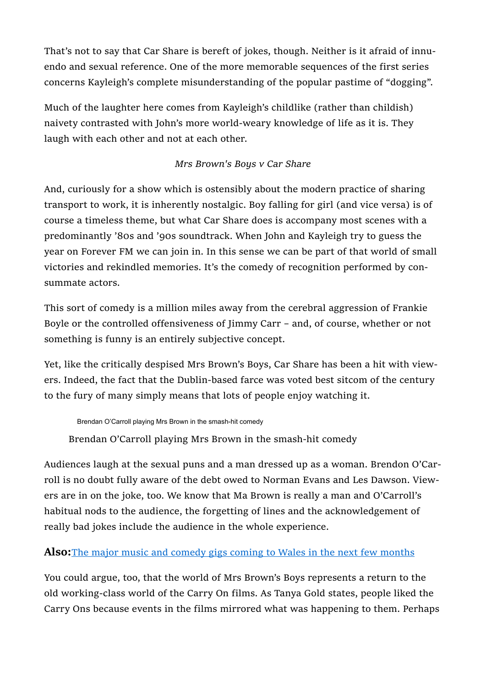That's not to say that Car Share is bereft of jokes, though. Neither is it afraid of innuendo and sexual reference. One of the more memorable sequences of the first series concerns Kayleigh's complete misunderstanding of the popular pastime of "dogging".

Much of the laughter here comes from Kayleigh's childlike (rather than childish) naivety contrasted with John's more world-weary knowledge of life as it is. They laugh with each other and not at each other.

## Mrs Brown's Boys v Car Share

And, curiously for a show which is ostensibly about the modern practice of sharing transport to work, it is inherently nostalgic. Boy falling for girl (and vice versa) is of course a timeless theme, but what Car Share does is accompany most scenes with a predominantly '80s and '90s soundtrack. When John and Kayleigh try to guess the year on Forever FM we can join in. In this sense we can be part of that world of small victories and rekindled memories. It's the comedy of recognition performed by consummate actors.

This sort of comedy is a million miles away from the cerebral aggression of Frankie Boyle or the controlled offensiveness of Jimmy Carr – and, of course, whether or not something is funny is an entirely subjective concept.

Yet, like the critically despised Mrs Brown's Boys, Car Share has been a hit with viewers. Indeed, the fact that the Dublin-based farce was voted best sitcom of the century to the fury of many simply means that lots of people enjoy watching it.

Brendan O'Carroll playing Mrs Brown in the smash-hit comedy

Brendan O'Carroll playing Mrs Brown in the smash-hit comedy

Audiences laugh at the sexual puns and a man dressed up as a woman. Brendon O'Carroll is no doubt fully aware of the debt owed to Norman Evans and Les Dawson. Viewers are in on the joke, too. We know that Ma Brown is really a man and O'Carroll's habitual nods to the audience, the forgetting of lines and the acknowledgement of really bad jokes include the audience in the whole experience.

#### Also: The major music and comedy gigs coming to Wales in the next few months

You could argue, too, that the world of Mrs Brown's Boys represents a return to the old working-class world of the Carry On films. As Tanya Gold states, people liked the Carry Ons because events in the films mirrored what was happening to them. Perhaps